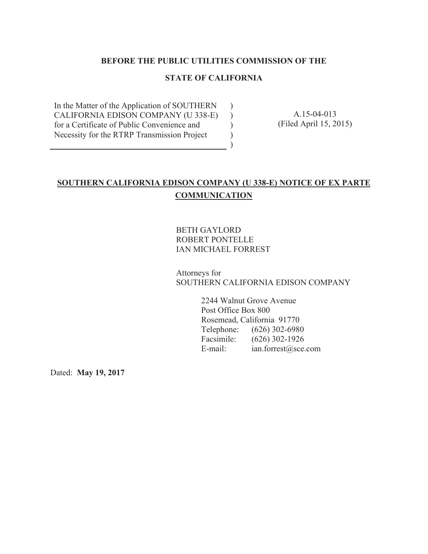#### **BEFORE THE PUBLIC UTILITIES COMMISSION OF THE**

#### **STATE OF CALIFORNIA**

 $\lambda$  $\lambda$ ) ) )

In the Matter of the Application of SOUTHERN CALIFORNIA EDISON COMPANY (U 338-E) for a Certificate of Public Convenience and Necessity for the RTRP Transmission Project

A.15-04-013 (Filed April 15, 2015)

#### **SOUTHERN CALIFORNIA EDISON COMPANY (U 338-E) NOTICE OF EX PARTE COMMUNICATION**

BETH GAYLORD ROBERT PONTELLE IAN MICHAEL FORREST

Attorneys for SOUTHERN CALIFORNIA EDISON COMPANY

> 2244 Walnut Grove Avenue Post Office Box 800 Rosemead, California 91770 Telephone: (626) 302-6980 Facsimile: (626) 302-1926 E-mail: ian.forrest@sce.com

Dated: **May 19, 2017**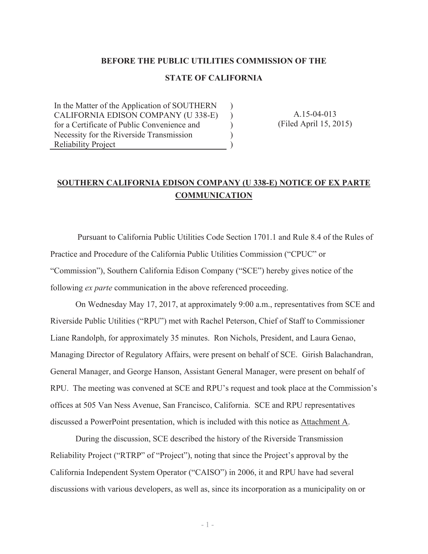#### **BEFORE THE PUBLIC UTILITIES COMMISSION OF THE**

#### **STATE OF CALIFORNIA**

)  $\lambda$  $\lambda$ )  $\overline{)}$ 

In the Matter of the Application of SOUTHERN CALIFORNIA EDISON COMPANY (U 338-E) for a Certificate of Public Convenience and Necessity for the Riverside Transmission Reliability Project

A.15-04-013 (Filed April 15, 2015)

#### **SOUTHERN CALIFORNIA EDISON COMPANY (U 338-E) NOTICE OF EX PARTE COMMUNICATION**

 Pursuant to California Public Utilities Code Section 1701.1 and Rule 8.4 of the Rules of Practice and Procedure of the California Public Utilities Commission ("CPUC" or "Commission"), Southern California Edison Company ("SCE") hereby gives notice of the following *ex parte* communication in the above referenced proceeding.

On Wednesday May 17, 2017, at approximately 9:00 a.m., representatives from SCE and Riverside Public Utilities ("RPU") met with Rachel Peterson, Chief of Staff to Commissioner Liane Randolph, for approximately 35 minutes. Ron Nichols, President, and Laura Genao, Managing Director of Regulatory Affairs, were present on behalf of SCE. Girish Balachandran, General Manager, and George Hanson, Assistant General Manager, were present on behalf of RPU. The meeting was convened at SCE and RPU's request and took place at the Commission's offices at 505 Van Ness Avenue, San Francisco, California. SCE and RPU representatives discussed a PowerPoint presentation, which is included with this notice as Attachment A.

During the discussion, SCE described the history of the Riverside Transmission Reliability Project ("RTRP" of "Project"), noting that since the Project's approval by the California Independent System Operator ("CAISO") in 2006, it and RPU have had several discussions with various developers, as well as, since its incorporation as a municipality on or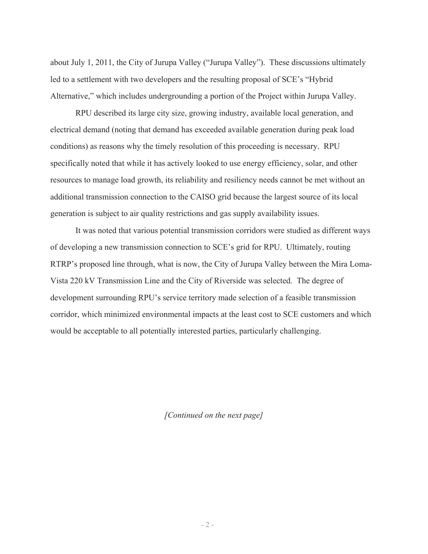about July 1, 2011, the City of Jurupa Valley ("Jurupa Valley"). These discussions ultimately led to a settlement with two developers and the resulting proposal of SCE's "Hybrid Alternative," which includes undergrounding a portion of the Project within Jurupa Valley.

RPU described its large city size, growing industry, available local generation, and electrical demand (noting that demand has exceeded available generation during peak load conditions) as reasons why the timely resolution of this proceeding is necessary. RPU specifically noted that while it has actively looked to use energy efficiency, solar, and other resources to manage load growth, its reliability and resiliency needs cannot be met without an additional transmission connection to the CAISO grid because the largest source of its local generation is subject to air quality restrictions and gas supply availability issues.

It was noted that various potential transmission corridors were studied as different ways of developing a new transmission connection to SCE's grid for RPU. Ultimately, routing RTRP's proposed line through, what is now, the City of Jurupa Valley between the Mira Loma-Vista 220 kV Transmission Line and the City of Riverside was selected. The degree of development surrounding RPU's service territory made selection of a feasible transmission corridor, which minimized environmental impacts at the least cost to SCE customers and which would be acceptable to all potentially interested parties, particularly challenging.

*[Continued on the next page]*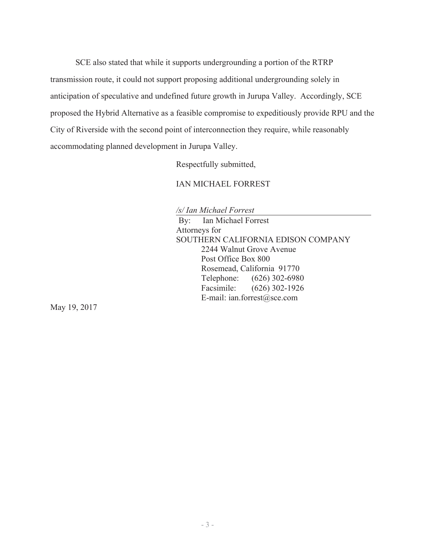SCE also stated that while it supports undergrounding a portion of the RTRP transmission route, it could not support proposing additional undergrounding solely in anticipation of speculative and undefined future growth in Jurupa Valley. Accordingly, SCE proposed the Hybrid Alternative as a feasible compromise to expeditiously provide RPU and the City of Riverside with the second point of interconnection they require, while reasonably accommodating planned development in Jurupa Valley.

Respectfully submitted,

IAN MICHAEL FORREST

*/s/ Ian Michael Forrest* 

By: Ian Michael Forrest Attorneys for SOUTHERN CALIFORNIA EDISON COMPANY 2244 Walnut Grove Avenue Post Office Box 800 Rosemead, California 91770 Telephone: (626) 302-6980 Facsimile: (626) 302-1926 E-mail: ian.forrest@sce.com

May 19, 2017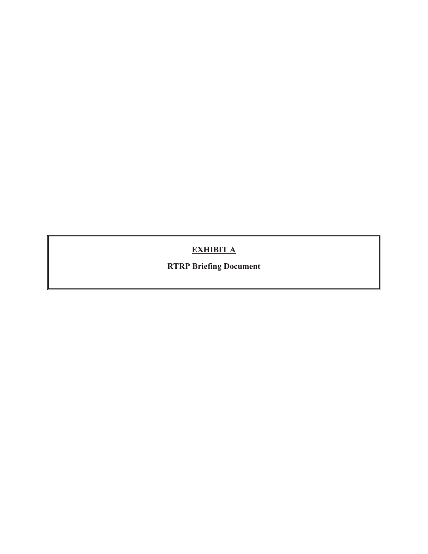### **EXHIBIT A**

**RTRP Briefing Document**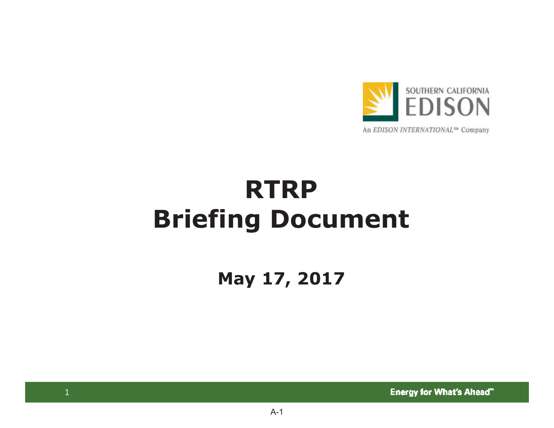

## **RTRPBriefing Document**

**May 17, 2017**

**Energy for What's Ahead"**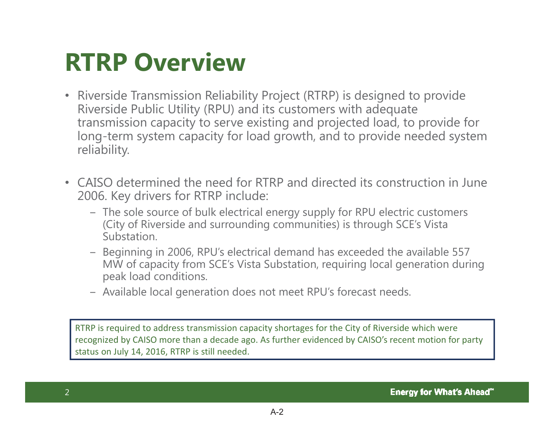## **RTRP Overview**

- Riverside Transmission Reliability Project (RTRP) is designed to provide Riverside Public Utility (RPU) and its customers with adequate transmission capacity to serve existing and projected load, to provide for long-term system capacity for load growth, and to provide needed system reliability.
- CAISO determined the need for RTRP and directed its construction in June 2006. Key drivers for RTRP include:
	- The sole source of bulk electrical energy supply for RPU electric customers (City of Riverside and surrounding communities) is through SCE's Vista Substation.
	- Beginning in 2006, RPU's electrical demand has exceeded the available 557 MW of capacity from SCE's Vista Substation, requiring local generation during peak load conditions.
	- Available local generation does not meet RPU's forecast needs.

RTRP is required to address transmission capacity shortages for the City of Riverside which were recognized by CAISO more than <sup>a</sup> decade ago. As further evidenced by CAISO's recent motion for party status on July 14, 2016, RTRP is still needed.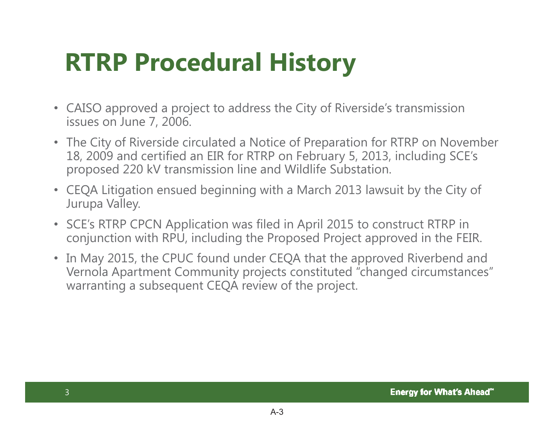## **RTRP Procedural History**

- CAISO approved a project to address the City of Riverside's transmission issues on June 7, 2006.
- The City of Riverside circulated a Notice of Preparation for RTRP on November 18, 2009 and certified an EIR for RTRP on February 5, 2013, including SCE's proposed 220 kV transmission line and Wildlife Substation.
- CEQA Litigation ensued beginning with a March 2013 lawsuit by the City of Jurupa Valley.
- SCE's RTRP CPCN Application was filed in April 2015 to construct RTRP in conjunction with RPU, including the Proposed Project approved in the FEIR.
- In May 2015, the CPUC found under CEQA that the approved Riverbend and Vernola Apartment Community projects constituted "changed circumstances" warranting a subsequent CEQA review of the project.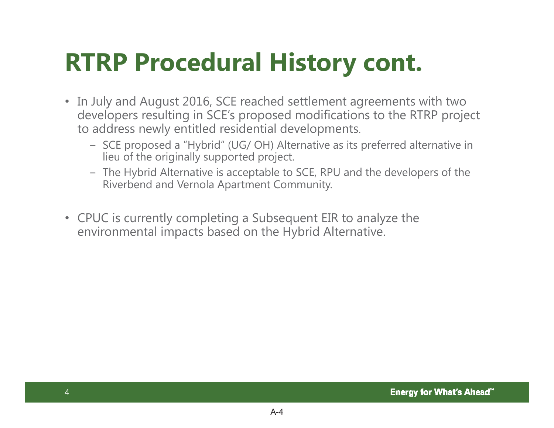## **RTRP Procedural History cont.**

- In July and August 2016, SCE reached settlement agreements with two developers resulting in SCE's proposed modifications to the RTRP project to address newly entitled residential developments.
	- SCE proposed a "Hybrid" (UG/ OH) Alternative as its preferred alternative in lieu of the originally supported project.
	- The Hybrid Alternative is acceptable to SCE, RPU and the developers of the Riverbend and Vernola Apartment Community.
- CPUC is currently completing a Subsequent EIR to analyze the environmental impacts based on the Hybrid Alternative.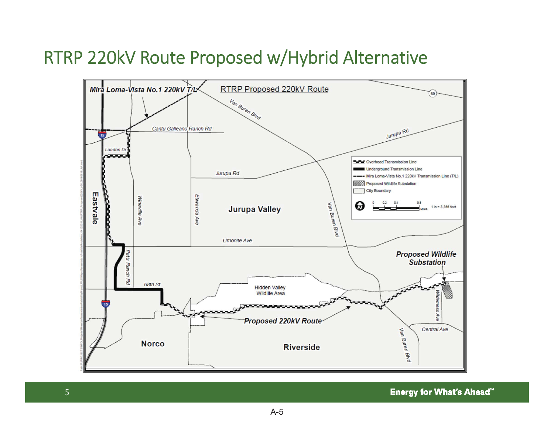### RTRP 220kV Route Proposed w/Hybrid Alternative



**Energy for What's Ahead"**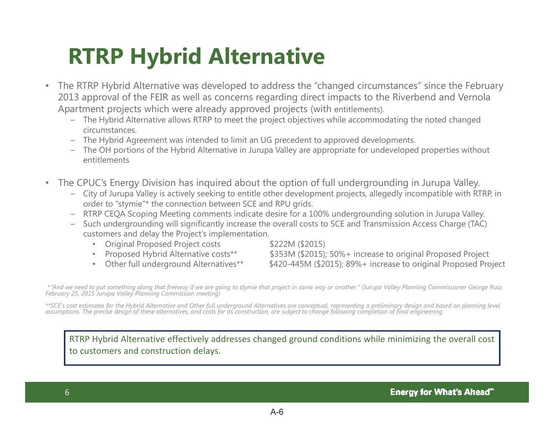## **RTRP Hybrid Alternative**

- • The RTRP Hybrid Alternative was developed to address the "changed circumstances" since the February 2013 approval of the FEIR as well as concerns regarding direct impacts to the Riverbend and Vernola Apartment projects which were already approved projects (with entitlements).
	- The Hybrid Alternative allows RTRP to meet the project objectives while accommodating the noted changed circumstances.
	- The Hybrid Agreement was intended to limit an UG precedent to approved developments.
	- The OH portions of the Hybrid Alternative in Jurupa Valley are appropriate for undeveloped properties without entitlements
- $\bullet$  The CPUC's Energy Division has inquired about the option of full undergrounding in Jurupa Valley.
	- City of Jurupa Valley is actively seeking to entitle other development projects, allegedly incompatible with RTRP, in order to "stymie"\* the connection between SCE and RPU grids.
	- RTRP CEQA Scoping Meeting comments indicate desire for a 100% undergrounding solution in Jurupa Valley.
	- Such undergrounding will significantly increase the overall costs to SCE and Transmission Access Charge (TAC) customers and delay the Project's implementation.
		- •Original Proposed Project costs \$222M (\$2015)
		- Proposed Hybrid Alternative costs\*\*
		- Other full underground Alternatives\*\*

\$353M (\$2015); 50%+ increase to original Proposed Project \$420-445M (\$2015); 89%+ increase to original Proposed Project

\**"And we need to put something along that freeway if we are going to stymie that project in some way or another." (Jurupa Valley Planning Commissioner George Ruiz, February 25, 2015 Jurupa Valley Planning Commission meeting)*

\*\*SCE's cost estimates for the Hybrid Alternative and Other full underground Alternatives are conceptual, representing a preliminary design and based on planning level<br>assumptions. The precise design of these alternatives,

RTRP Hybrid Alternative effectively addresses changed ground conditions while minimizing the overall cost to customers and construction delays.

 $A-6$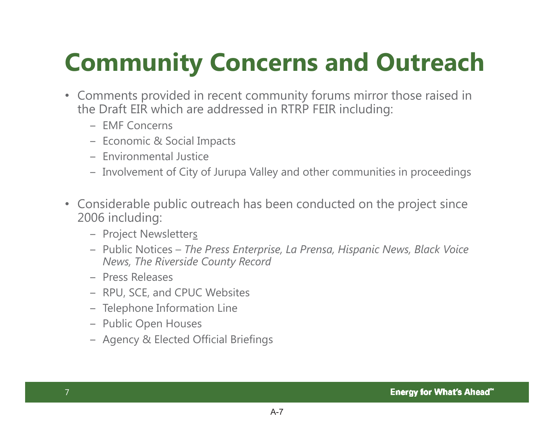## **Community Concerns and Outreach**

- Comments provided in recent community forums mirror those raised in the Draft EIR which are addressed in RTRP FEIR including:
	- EMF Concerns
	- Economic & Social Impacts
	- Environmental Justice
	- Involvement of City of Jurupa Valley and other communities in proceedings
- Considerable public outreach has been conducted on the project since 2006 including:
	- Project Newsletter<u>s</u>
	- വ Public Notices *The Press Enterprise, La Prensa, Hispanic News, Black Voice News, The Riverside County Record*
	- Press Releases
	- RPU, SCE, and CPUC Websites
	- Telephone Information Line
	- Public Open Houses
	- Agency & Elected Official Briefings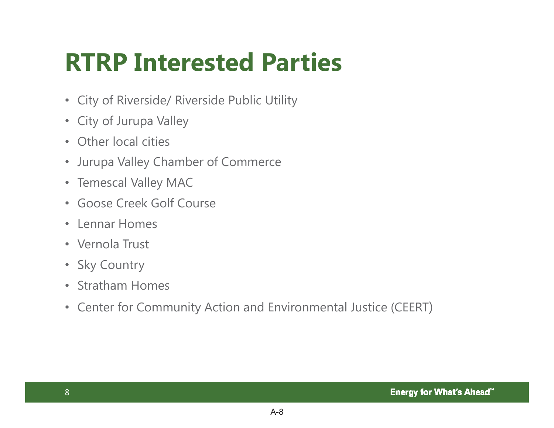## **RTRP Interested Parties**

- City of Riverside/ Riverside Public Utility
- City of Jurupa Valley
- Other local cities
- Jurupa Valley Chamber of Commerce
- Temescal Valley MAC
- Goose Creek Golf Course
- Lennar Homes
- Vernola Trust
- Sky Country
- Stratham Homes
- Center for Community Action and Environmental Justice (CEERT)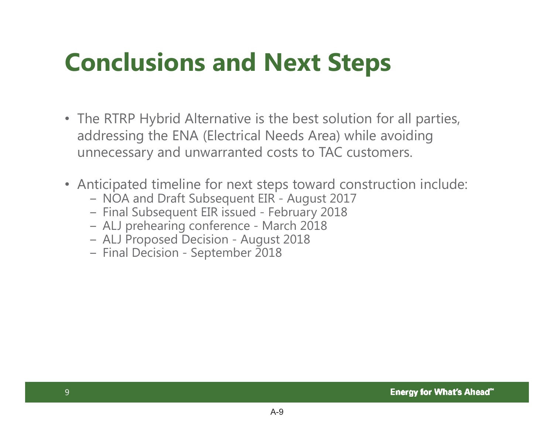## **Conclusions and Next Steps**

- The RTRP Hybrid Alternative is the best solution for all parties, addressing the ENA (Electrical Needs Area) while avoiding unnecessary and unwarranted costs to TAC customers.
- Anticipated timeline for next steps toward construction include:
	- NOA and Draft Subsequent EIR August 2017
	- Final Subsequent EIR issued February 2018
	- ALJ prehearing conference March 2018
	- ALJ Proposed Decision August 2018
	- Final Decision September 2018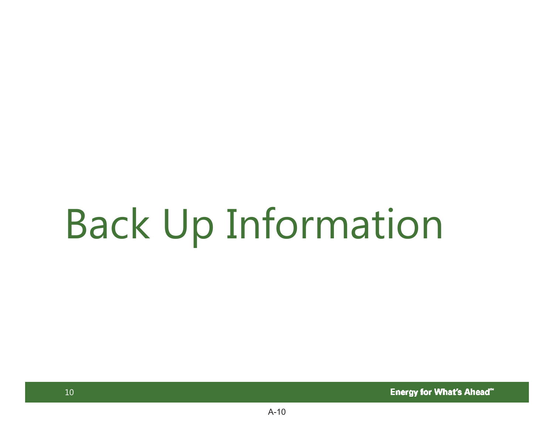# Back Up Information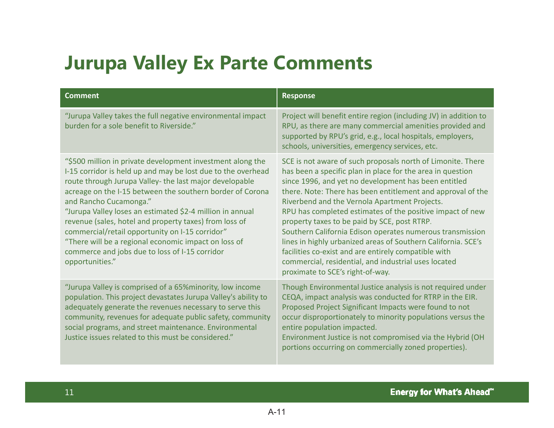### **Jurupa Valley Ex Parte Comments**

| <b>Comment</b>                                                                                                                                                                                                                                                                                                                                                                                                                                                                                                                                                                      | <b>Response</b>                                                                                                                                                                                                                                                                                                                                                                                                                                                                                                                                                                                                                                                                                  |
|-------------------------------------------------------------------------------------------------------------------------------------------------------------------------------------------------------------------------------------------------------------------------------------------------------------------------------------------------------------------------------------------------------------------------------------------------------------------------------------------------------------------------------------------------------------------------------------|--------------------------------------------------------------------------------------------------------------------------------------------------------------------------------------------------------------------------------------------------------------------------------------------------------------------------------------------------------------------------------------------------------------------------------------------------------------------------------------------------------------------------------------------------------------------------------------------------------------------------------------------------------------------------------------------------|
| "Jurupa Valley takes the full negative environmental impact<br>burden for a sole benefit to Riverside."                                                                                                                                                                                                                                                                                                                                                                                                                                                                             | Project will benefit entire region (including JV) in addition to<br>RPU, as there are many commercial amenities provided and<br>supported by RPU's grid, e.g., local hospitals, employers,<br>schools, universities, emergency services, etc.                                                                                                                                                                                                                                                                                                                                                                                                                                                    |
| "\$500 million in private development investment along the<br>I-15 corridor is held up and may be lost due to the overhead<br>route through Jurupa Valley- the last major developable<br>acreage on the I-15 between the southern border of Corona<br>and Rancho Cucamonga."<br>"Jurupa Valley loses an estimated \$2-4 million in annual<br>revenue (sales, hotel and property taxes) from loss of<br>commercial/retail opportunity on I-15 corridor"<br>"There will be a regional economic impact on loss of<br>commerce and jobs due to loss of I-15 corridor<br>opportunities." | SCE is not aware of such proposals north of Limonite. There<br>has been a specific plan in place for the area in question<br>since 1996, and yet no development has been entitled<br>there. Note: There has been entitlement and approval of the<br>Riverbend and the Vernola Apartment Projects.<br>RPU has completed estimates of the positive impact of new<br>property taxes to be paid by SCE, post RTRP.<br>Southern California Edison operates numerous transmission<br>lines in highly urbanized areas of Southern California. SCE's<br>facilities co-exist and are entirely compatible with<br>commercial, residential, and industrial uses located<br>proximate to SCE's right-of-way. |
| "Jurupa Valley is comprised of a 65% minority, low income<br>population. This project devastates Jurupa Valley's ability to<br>adequately generate the revenues necessary to serve this<br>community, revenues for adequate public safety, community<br>social programs, and street maintenance. Environmental<br>Justice issues related to this must be considered."                                                                                                                                                                                                               | Though Environmental Justice analysis is not required under<br>CEQA, impact analysis was conducted for RTRP in the EIR.<br>Proposed Project Significant Impacts were found to not<br>occur disproportionately to minority populations versus the<br>entire population impacted.<br>Environment Justice is not compromised via the Hybrid (OH<br>portions occurring on commercially zoned properties).                                                                                                                                                                                                                                                                                            |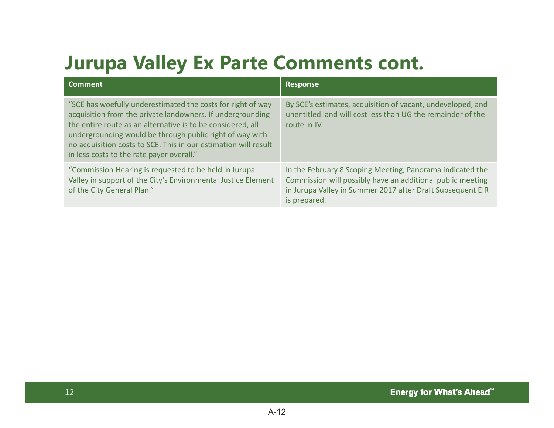## **Jurupa Valley Ex Parte Comments cont.**

| <b>Comment</b>                                                                                                                                                                                                                                                                                                                                                       | <b>Response</b>                                                                                                                                                                                       |
|----------------------------------------------------------------------------------------------------------------------------------------------------------------------------------------------------------------------------------------------------------------------------------------------------------------------------------------------------------------------|-------------------------------------------------------------------------------------------------------------------------------------------------------------------------------------------------------|
| "SCE has woefully underestimated the costs for right of way<br>acquisition from the private landowners. If undergrounding<br>the entire route as an alternative is to be considered, all<br>undergrounding would be through public right of way with<br>no acquisition costs to SCE. This in our estimation will result<br>in less costs to the rate payer overall." | By SCE's estimates, acquisition of vacant, undeveloped, and<br>unentitled land will cost less than UG the remainder of the<br>route in JV.                                                            |
| "Commission Hearing is requested to be held in Jurupa<br>Valley in support of the City's Environmental Justice Element<br>of the City General Plan."                                                                                                                                                                                                                 | In the February 8 Scoping Meeting, Panorama indicated the<br>Commission will possibly have an additional public meeting<br>in Jurupa Valley in Summer 2017 after Draft Subsequent EIR<br>is prepared. |